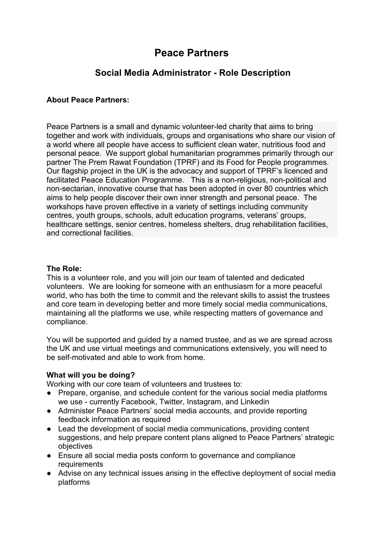# **Peace Partners**

# **Social Media Administrator - Role Description**

# **About Peace Partners:**

Peace Partners is a small and dynamic volunteer-led charity that aims to bring together and work with individuals, groups and organisations who share our vision of a world where all people have access to sufficient clean water, nutritious food and personal peace. We support global humanitarian programmes primarily through our partner The Prem Rawat Foundation (TPRF) and its Food for People programmes. Our flagship project in the UK is the advocacy and support of TPRF's licenced and facilitated Peace Education Programme. This is a non-religious, non-political and non-sectarian, innovative course that has been adopted in over 80 countries which aims to help people discover their own inner strength and personal peace. The workshops have proven effective in a variety of settings including community centres, youth groups, schools, adult education programs, veterans' groups, healthcare settings, senior centres, homeless shelters, drug rehabilitation facilities, and correctional facilities.

#### **The Role:**

This is a volunteer role, and you will join our team of talented and dedicated volunteers. We are looking for someone with an enthusiasm for a more peaceful world, who has both the time to commit and the relevant skills to assist the trustees and core team in developing better and more timely social media communications, maintaining all the platforms we use, while respecting matters of governance and compliance.

You will be supported and guided by a named trustee, and as we are spread across the UK and use virtual meetings and communications extensively, you will need to be self-motivated and able to work from home.

# **What will you be doing?**

Working with our core team of volunteers and trustees to:

- Prepare, organise, and schedule content for the various social media platforms we use - currently Facebook, Twitter, Instagram, and Linkedin
- Administer Peace Partners' social media accounts, and provide reporting feedback information as required
- Lead the development of social media communications, providing content suggestions, and help prepare content plans aligned to Peace Partners' strategic objectives
- Ensure all social media posts conform to governance and compliance requirements
- Advise on any technical issues arising in the effective deployment of social media platforms